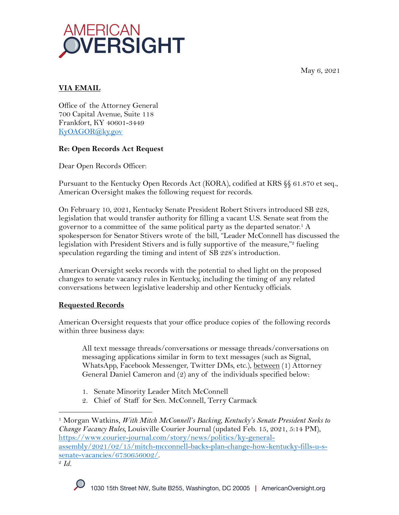May 6, 2021



## **VIA EMAIL**

Office of the Attorney General 700 Capital Avenue, Suite 118 Frankfort, KY 40601-3449 KyOAGOR@ky.gov

## **Re: Open Records Act Request**

Dear Open Records Officer:

Pursuant to the Kentucky Open Records Act (KORA), codified at KRS §§ 61.870 et seq., American Oversight makes the following request for records.

On February 10, 2021, Kentucky Senate President Robert Stivers introduced SB 228, legislation that would transfer authority for filling a vacant U.S. Senate seat from the governor to a committee of the same political party as the departed senator.1 A spokesperson for Senator Stivers wrote of the bill, "Leader McConnell has discussed the legislation with President Stivers and is fully supportive of the measure," fueling speculation regarding the timing and intent of SB 228's introduction.

American Oversight seeks records with the potential to shed light on the proposed changes to senate vacancy rules in Kentucky, including the timing of any related conversations between legislative leadership and other Kentucky officials.

# **Requested Records**

American Oversight requests that your office produce copies of the following records within three business days:

All text message threads/conversations or message threads/conversations on messaging applications similar in form to text messages (such as Signal, WhatsApp, Facebook Messenger, Twitter DMs, etc.), between (1) Attorney General Daniel Cameron and (2) any of the individuals specified below:

- 1. Senate Minority Leader Mitch McConnell
- 2. Chief of Staff for Sen. McConnell, Terry Carmack

<sup>1</sup> Morgan Watkins, *With Mitch McConnell's Backing, Kentucky's Senate President Seeks to Change Vacancy Rules,* Louisville Courier Journal (updated Feb. 15, 2021, 5:14 PM), https://www.courier-journal.com/story/news/politics/ky-generalassembly/2021/02/15/mitch-mcconnell-backs-plan-change-how-kentucky-fills-u-ssenate-vacancies/6730656002/. 2 *Id.*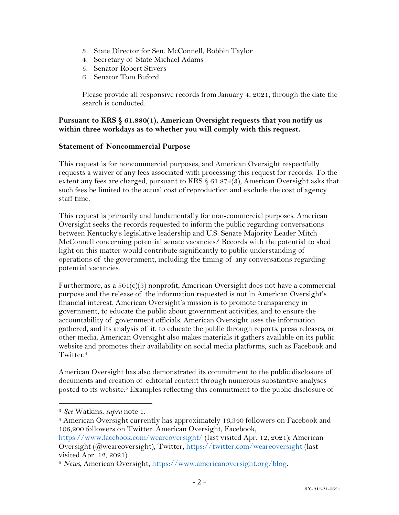- 3. State Director for Sen. McConnell, Robbin Taylor
- 4. Secretary of State Michael Adams
- 5. Senator Robert Stivers
- 6. Senator Tom Buford

Please provide all responsive records from January 4, 2021, through the date the search is conducted.

### **Pursuant to KRS § 61.880(1), American Oversight requests that you notify us within three workdays as to whether you will comply with this request.**

#### **Statement of Noncommercial Purpose**

This request is for noncommercial purposes, and American Oversight respectfully requests a waiver of any fees associated with processing this request for records. To the extent any fees are charged, pursuant to KRS § 61.874(3), American Oversight asks that such fees be limited to the actual cost of reproduction and exclude the cost of agency staff time.

This request is primarily and fundamentally for non-commercial purposes. American Oversight seeks the records requested to inform the public regarding conversations between Kentucky's legislative leadership and U.S. Senate Majority Leader Mitch McConnell concerning potential senate vacancies.3 Records with the potential to shed light on this matter would contribute significantly to public understanding of operations of the government, including the timing of any conversations regarding potential vacancies.

Furthermore, as a  $501(c)(3)$  nonprofit, American Oversight does not have a commercial purpose and the release of the information requested is not in American Oversight's financial interest. American Oversight's mission is to promote transparency in government, to educate the public about government activities, and to ensure the accountability of government officials. American Oversight uses the information gathered, and its analysis of it, to educate the public through reports, press releases, or other media. American Oversight also makes materials it gathers available on its public website and promotes their availability on social media platforms, such as Facebook and Twitter.<sup>4</sup>

American Oversight has also demonstrated its commitment to the public disclosure of documents and creation of editorial content through numerous substantive analyses posted to its website.<sup>5</sup> Examples reflecting this commitment to the public disclosure of

<sup>3</sup> *See* Watkins, *supra* note 1.

<sup>&</sup>lt;sup>4</sup> American Oversight currently has approximately 16,340 followers on Facebook and 106,200 followers on Twitter. American Oversight, Facebook,

https://www.facebook.com/weareoversight/ (last visited Apr. 12, 2021); American Oversight (@weareoversight), Twitter, https://twitter.com/weareoversight (last visited Apr. 12, 2021).

<sup>5</sup> *News*, American Oversight, https://www.americanoversight.org/blog.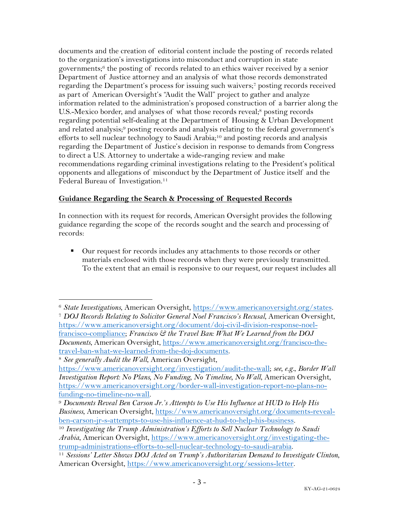documents and the creation of editorial content include the posting of records related to the organization's investigations into misconduct and corruption in state governments; <sup>6</sup> the posting of records related to an ethics waiver received by a senior Department of Justice attorney and an analysis of what those records demonstrated regarding the Department's process for issuing such waivers;7 posting records received as part of American Oversight's "Audit the Wall" project to gather and analyze information related to the administration's proposed construction of a barrier along the U.S.-Mexico border, and analyses of what those records reveal;<sup>8</sup> posting records regarding potential self-dealing at the Department of Housing & Urban Development and related analysis;<sup>9</sup> posting records and analysis relating to the federal government's efforts to sell nuclear technology to Saudi Arabia;<sup>10</sup> and posting records and analysis regarding the Department of Justice's decision in response to demands from Congress to direct a U.S. Attorney to undertake a wide-ranging review and make recommendations regarding criminal investigations relating to the President's political opponents and allegations of misconduct by the Department of Justice itself and the Federal Bureau of Investigation.<sup>11</sup>

## **Guidance Regarding the Search & Processing of Requested Records**

In connection with its request for records, American Oversight provides the following guidance regarding the scope of the records sought and the search and processing of records:

■ Our request for records includes any attachments to those records or other materials enclosed with those records when they were previously transmitted. To the extent that an email is responsive to our request, our request includes all

<sup>6</sup> *State Investigations*, American Oversight, https://www.americanoversight.org/states. <sup>7</sup> *DOJ Records Relating to Solicitor General Noel Francisco's Recusal*, American Oversight, https://www.americanoversight.org/document/doj-civil-division-response-noelfrancisco-compliance; *Francisco & the Travel Ban: What We Learned from the DOJ Documents*, American Oversight, https://www.americanoversight.org/francisco-thetravel-ban-what-we-learned-from-the-doj-documents.

<sup>8</sup> *See generally Audit the Wall*, American Oversight,

https://www.americanoversight.org/investigation/audit-the-wall; *see, e.g.*, *Border Wall Investigation Report: No Plans, No Funding, No Timeline, No Wall*, American Oversight, https://www.americanoversight.org/border-wall-investigation-report-no-plans-nofunding-no-timeline-no-wall. 9 *Documents Reveal Ben Carson Jr.'s Attempts to Use His Influence at HUD to Help His* 

*Business*, American Oversight, https://www.americanoversight.org/documents-revealben-carson-jr-s-attempts-to-use-his-influence-at-hud-to-help-his-business. 10 *Investigating the Trump Administration's Efforts to Sell Nuclear Technology to Saudi* 

*Arabia*, American Oversight, https://www.americanoversight.org/investigating-thetrump-administrations-efforts-to-sell-nuclear-technology-to-saudi-arabia. 11 *Sessions' Letter Shows DOJ Acted on Trump's Authoritarian Demand to Investigate Clinton*,

American Oversight, https://www.americanoversight.org/sessions-letter.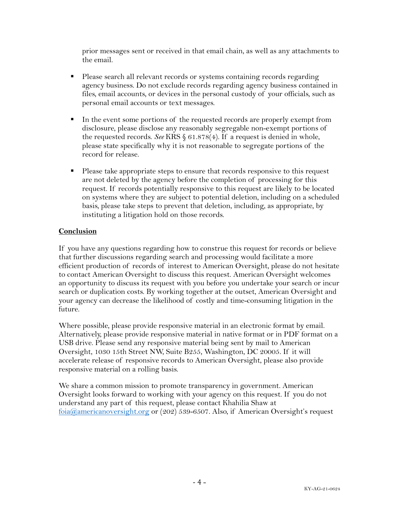prior messages sent or received in that email chain, as well as any attachments to the email.

- Please search all relevant records or systems containing records regarding agency business. Do not exclude records regarding agency business contained in files, email accounts, or devices in the personal custody of your officials, such as personal email accounts or text messages.
- In the event some portions of the requested records are properly exempt from disclosure, please disclose any reasonably segregable non-exempt portions of the requested records. *See* KRS § 61.878(4). If a request is denied in whole, please state specifically why it is not reasonable to segregate portions of the record for release.
- Please take appropriate steps to ensure that records responsive to this request are not deleted by the agency before the completion of processing for this request. If records potentially responsive to this request are likely to be located on systems where they are subject to potential deletion, including on a scheduled basis, please take steps to prevent that deletion, including, as appropriate, by instituting a litigation hold on those records.

## **Conclusion**

If you have any questions regarding how to construe this request for records or believe that further discussions regarding search and processing would facilitate a more efficient production of records of interest to American Oversight, please do not hesitate to contact American Oversight to discuss this request. American Oversight welcomes an opportunity to discuss its request with you before you undertake your search or incur search or duplication costs. By working together at the outset, American Oversight and your agency can decrease the likelihood of costly and time-consuming litigation in the future.

Where possible, please provide responsive material in an electronic format by email. Alternatively, please provide responsive material in native format or in PDF format on a USB drive. Please send any responsive material being sent by mail to American Oversight, 1030 15th Street NW, Suite B255, Washington, DC 20005. If it will accelerate release of responsive records to American Oversight, please also provide responsive material on a rolling basis.

We share a common mission to promote transparency in government. American Oversight looks forward to working with your agency on this request. If you do not understand any part of this request, please contact Khahilia Shaw at foia@americanoversight.org or (202) 539-6507. Also, if American Oversight's request